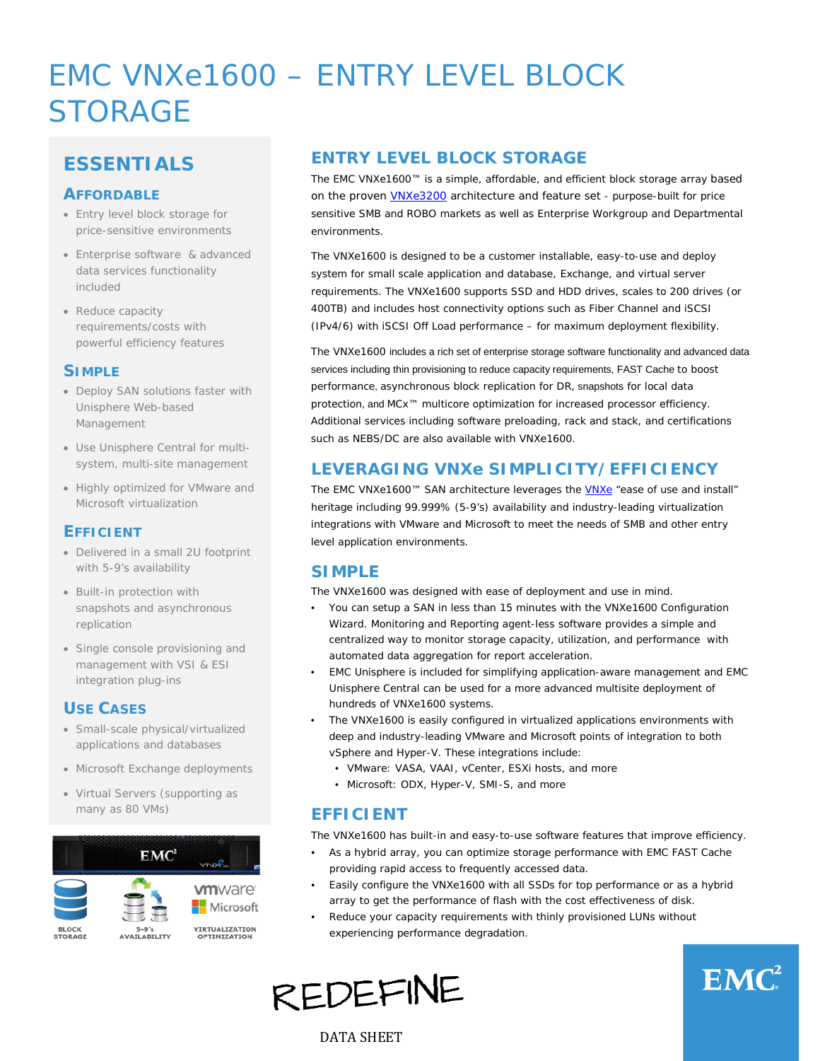# EMC VNXe1600 – ENTRY LEVEL BLOCK STORAGE

# **ESSENTIALS**

#### **AFFORDABLE**

- Entry level block storage for price-sensitive environments
- Enterprise software & advanced data services functionality included
- Reduce capacity requirements/costs with powerful efficiency features

#### **SIMPLE**

- Deploy SAN solutions faster with Unisphere Web-based Management
- Use Unisphere Central for multisystem, multi-site management
- Highly optimized for VMware and Microsoft virtualization

#### **EFFICIENT**

- Delivered in a small 2U footprint with 5-9's availability
- Built-in protection with snapshots and asynchronous replication
- Single console provisioning and management with VSI & ESI integration plug-ins

#### **USE CASES**

- Small-scale physical/virtualized applications and databases
- Microsoft Exchange deployments
- Virtual Servers (supporting as many as 80 VMs)



## **ENTRY LEVEL BLOCK STORAGE**

The EMC VNXe1600™ is a simple, affordable, and efficient block storage array based on the proven *VNXe3200* architecture and feature set - purpose-built for price sensitive SMB and ROBO markets as well as Enterprise Workgroup and Departmental environments.

The VNXe1600 is designed to be a customer installable, easy-to-use and deploy system for small scale application and database, Exchange, and virtual server requirements. The VNXe1600 supports SSD and HDD drives, scales to 200 drives (or 400TB) and includes host connectivity options such as Fiber Channel and iSCSI (IPv4/6) with iSCSI Off Load performance – for maximum deployment flexibility.

The VNXe1600 includes a rich set of enterprise storage software functionality and advanced data services including thin provisioning to reduce capacity requirements, FAST Cache to boost performance, asynchronous block replication for DR, snapshots for local data protection, and MCx<sup>™</sup> multicore optimization for increased processor efficiency. Additional services including software preloading, rack and stack, and certifications such as NEBS/DC are also available with VNXe1600.

### **LEVERAGING VNXe SIMPLICITY/EFFICIENCY**

The EMC [VNXe](http://www.storagereview.com/emc_vnxe3200_review)1600™ SAN architecture leverages the **VNXe** "ease of use and install" heritage including 99.999% (5-9's) availability and industry-leading virtualization integrations with VMware and Microsoft to meet the needs of SMB and other entry level application environments.

#### **SIMPLE**

The VNXe1600 was designed with ease of deployment and use in mind.

- You can setup a SAN in less than 15 minutes with the VNXe1600 Configuration Wizard. Monitoring and Reporting agent-less software provides a simple and centralized way to monitor storage capacity, utilization, and performance with automated data aggregation for report acceleration.
- EMC Unisphere is included for simplifying application-aware management and EMC Unisphere Central can be used for a more advanced multisite deployment of hundreds of VNXe1600 systems.
- The VNXe1600 is easily configured in virtualized applications environments with deep and industry-leading VMware and Microsoft points of integration to both vSphere and Hyper-V. These integrations include:
	- VMware: VASA, VAAI, vCenter, ESXi hosts, and more
	- Microsoft: ODX, Hyper-V, SMI-S, and more

## **EFFICIENT**

The VNXe1600 has built-in and easy-to-use software features that improve efficiency.

- As a hybrid array, you can optimize storage performance with EMC FAST Cache providing rapid access to frequently accessed data.
- Easily configure the VNXe1600 with all SSDs for top performance or as a hybrid array to get the performance of flash with the cost effectiveness of disk.
- Reduce your capacity requirements with thinly provisioned LUNs without experiencing performance degradation.

**REDEFINE** 



DATA SHEET